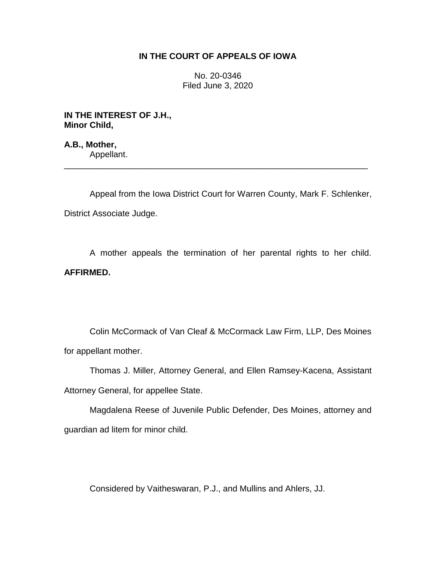## **IN THE COURT OF APPEALS OF IOWA**

No. 20-0346 Filed June 3, 2020

**IN THE INTEREST OF J.H., Minor Child,**

**A.B., Mother,** Appellant.

Appeal from the Iowa District Court for Warren County, Mark F. Schlenker, District Associate Judge.

\_\_\_\_\_\_\_\_\_\_\_\_\_\_\_\_\_\_\_\_\_\_\_\_\_\_\_\_\_\_\_\_\_\_\_\_\_\_\_\_\_\_\_\_\_\_\_\_\_\_\_\_\_\_\_\_\_\_\_\_\_\_\_\_

A mother appeals the termination of her parental rights to her child. **AFFIRMED.**

Colin McCormack of Van Cleaf & McCormack Law Firm, LLP, Des Moines for appellant mother.

Thomas J. Miller, Attorney General, and Ellen Ramsey-Kacena, Assistant Attorney General, for appellee State.

Magdalena Reese of Juvenile Public Defender, Des Moines, attorney and guardian ad litem for minor child.

Considered by Vaitheswaran, P.J., and Mullins and Ahlers, JJ.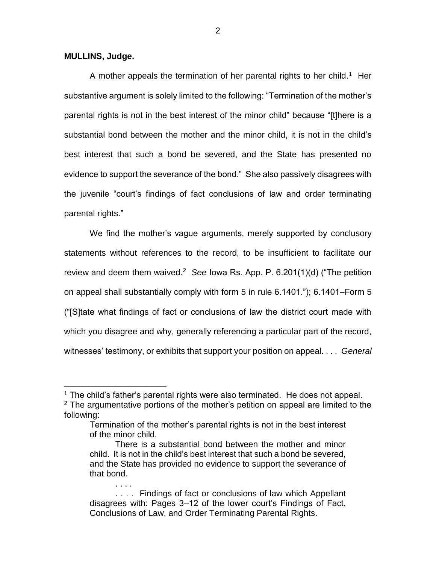## **MULLINS, Judge.**

 $\overline{a}$ 

. . . .

A mother appeals the termination of her parental rights to her child.<sup>1</sup> Her substantive argument is solely limited to the following: "Termination of the mother's parental rights is not in the best interest of the minor child" because "[t]here is a substantial bond between the mother and the minor child, it is not in the child's best interest that such a bond be severed, and the State has presented no evidence to support the severance of the bond." She also passively disagrees with the juvenile "court's findings of fact conclusions of law and order terminating parental rights."

We find the mother's vague arguments, merely supported by conclusory statements without references to the record, to be insufficient to facilitate our review and deem them waived.<sup>2</sup> See Iowa Rs. App. P. 6.201(1)(d) ("The petition on appeal shall substantially comply with form 5 in rule 6.1401."); 6.1401–Form 5 ("[S]tate what findings of fact or conclusions of law the district court made with which you disagree and why, generally referencing a particular part of the record, witnesses' testimony, or exhibits that support your position on appeal. . . . *General* 

 $1$  The child's father's parental rights were also terminated. He does not appeal.  $2$  The argumentative portions of the mother's petition on appeal are limited to the following:

Termination of the mother's parental rights is not in the best interest of the minor child.

There is a substantial bond between the mother and minor child. It is not in the child's best interest that such a bond be severed, and the State has provided no evidence to support the severance of that bond.

<sup>. . . .</sup> Findings of fact or conclusions of law which Appellant disagrees with: Pages 3–12 of the lower court's Findings of Fact, Conclusions of Law, and Order Terminating Parental Rights.